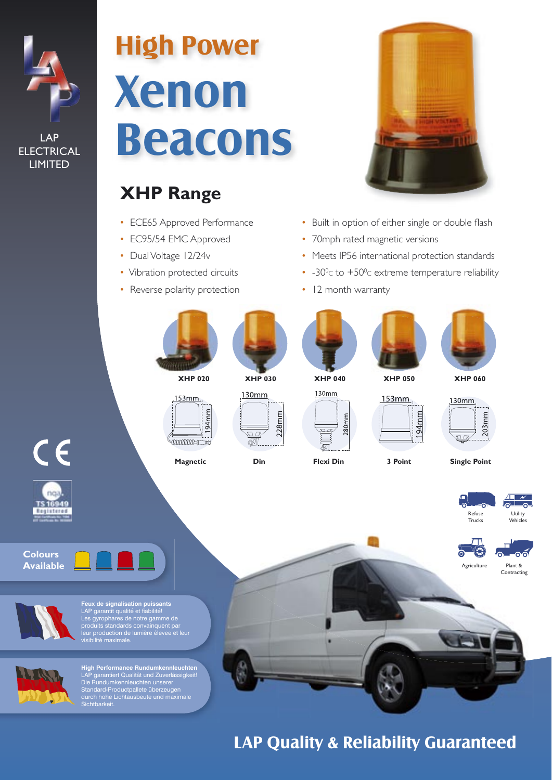

LAP **ELECTRICAL** LIMITED

# **Xenon Beacons High Power**

# **XHP Range**

- ECE65 Approved Performance
- EC95/54 EMC Approved
- Dual Voltage 12/24v
- Vibration protected circuits
- Reverse polarity protection



- Built in option of either single or double flash
- 70mph rated magnetic versions
- Meets IP56 international protection standards
- $-30^{\circ}$ c to  $+50^{\circ}$ c extreme temperature reliability
- 12 month warranty





**High Performance Rundumkennleuchten**<br>Die Rundumkennleuchten unserer<br>Site Rundumkennleuchten unserer<br>Standard-Productpallete überzeugen<br>durch hohe Lichtausbeute und maximale<br>Sichtbarkeit.

**LAP Quality & Reliability Guaranteed**